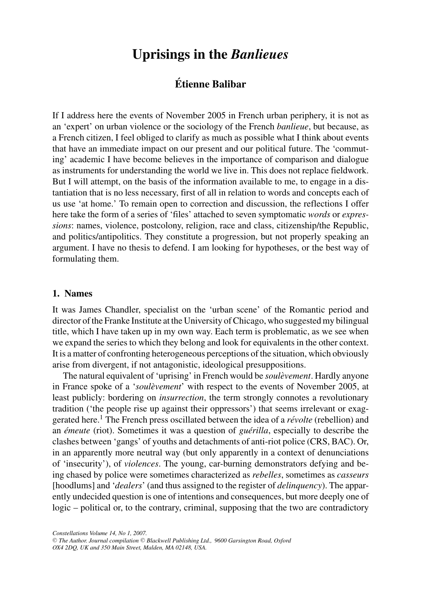# **Uprisings in the** *Banlieues*

## **Etienne Balibar ´**

If I address here the events of November 2005 in French urban periphery, it is not as an 'expert' on urban violence or the sociology of the French *banlieue*, but because, as a French citizen, I feel obliged to clarify as much as possible what I think about events that have an immediate impact on our present and our political future. The 'commuting' academic I have become believes in the importance of comparison and dialogue as instruments for understanding the world we live in. This does not replace fieldwork. But I will attempt, on the basis of the information available to me, to engage in a distantiation that is no less necessary, first of all in relation to words and concepts each of us use 'at home.' To remain open to correction and discussion, the reflections I offer here take the form of a series of 'files' attached to seven symptomatic *words* or *expressions*: names, violence, postcolony, religion, race and class, citizenship/the Republic, and politics/antipolitics. They constitute a progression, but not properly speaking an argument. I have no thesis to defend. I am looking for hypotheses, or the best way of formulating them.

#### **1. Names**

It was James Chandler, specialist on the 'urban scene' of the Romantic period and director of the Franke Institute at the University of Chicago, who suggested my bilingual title, which I have taken up in my own way. Each term is problematic, as we see when we expand the series to which they belong and look for equivalents in the other context. It is a matter of confronting heterogeneous perceptions of the situation, which obviously arise from divergent, if not antagonistic, ideological presuppositions.

The natural equivalent of 'uprising' in French would be *soulevement `* . Hardly anyone in France spoke of a *'soulevement'* with respect to the events of November 2005, at least publicly: bordering on *insurrection*, the term strongly connotes a revolutionary tradition ('the people rise up against their oppressors') that seems irrelevant or exaggerated here.<sup>1</sup> The French press oscillated between the idea of a *révolte* (rebellion) and an *émeute* (riot). Sometimes it was a question of *guérilla*, especially to describe the clashes between 'gangs' of youths and detachments of anti-riot police (CRS, BAC). Or, in an apparently more neutral way (but only apparently in a context of denunciations of 'insecurity'), of *violences*. The young, car-burning demonstrators defying and being chased by police were sometimes characterized as *rebelles*, sometimes as *casseurs* [hoodlums] and '*dealers*' (and thus assigned to the register of *delinquency*). The apparently undecided question is one of intentions and consequences, but more deeply one of logic – political or, to the contrary, criminal, supposing that the two are contradictory

*Constellations Volume 14, No 1, 2007.*

<sup>©</sup> The Author. Journal compilation © Blackwell Publishing Ltd., 9600 Garsington Road, Oxford *OX4 2DQ, UK and 350 Main Street, Malden, MA 02148, USA.*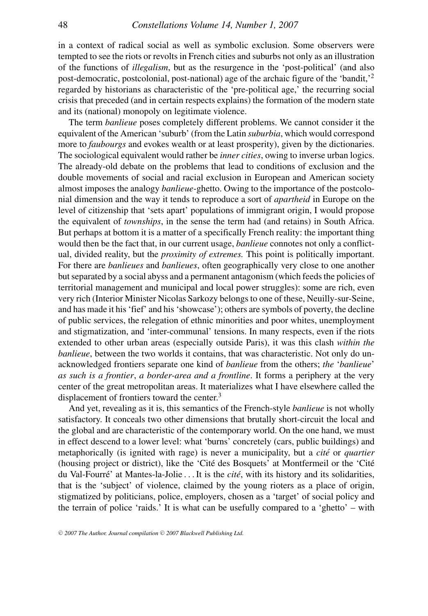in a context of radical social as well as symbolic exclusion. Some observers were tempted to see the riots or revolts in French cities and suburbs not only as an illustration of the functions of *illegalism*, but as the resurgence in the 'post-political' (and also post-democratic, postcolonial, post-national) age of the archaic figure of the 'bandit,'<sup>2</sup> regarded by historians as characteristic of the 'pre-political age,' the recurring social crisis that preceded (and in certain respects explains) the formation of the modern state and its (national) monopoly on legitimate violence.

The term *banlieue* poses completely different problems. We cannot consider it the equivalent of the American 'suburb' (from the Latin *suburbia*, which would correspond more to *faubourgs* and evokes wealth or at least prosperity), given by the dictionaries. The sociological equivalent would rather be *inner cities*, owing to inverse urban logics. The already-old debate on the problems that lead to conditions of exclusion and the double movements of social and racial exclusion in European and American society almost imposes the analogy *banlieue-*ghetto. Owing to the importance of the postcolonial dimension and the way it tends to reproduce a sort of *apartheid* in Europe on the level of citizenship that 'sets apart' populations of immigrant origin, I would propose the equivalent of *townships*, in the sense the term had (and retains) in South Africa. But perhaps at bottom it is a matter of a specifically French reality: the important thing would then be the fact that, in our current usage, *banlieue* connotes not only a conflictual, divided reality, but the *proximity of extremes.* This point is politically important. For there are *banlieues* and *banlieues*, often geographically very close to one another but separated by a social abyss and a permanent antagonism (which feeds the policies of territorial management and municipal and local power struggles): some are rich, even very rich (Interior Minister Nicolas Sarkozy belongs to one of these, Neuilly-sur-Seine, and has made it his 'fief' and his 'showcase'); others are symbols of poverty, the decline of public services, the relegation of ethnic minorities and poor whites, unemployment and stigmatization, and 'inter-communal' tensions. In many respects, even if the riots extended to other urban areas (especially outside Paris), it was this clash *within the banlieue*, between the two worlds it contains, that was characteristic. Not only do unacknowledged frontiers separate one kind of *banlieue* from the others; *the* '*banlieue*' *as such is a frontier*, *a border-area and a frontline*. It forms a periphery at the very center of the great metropolitan areas. It materializes what I have elsewhere called the displacement of frontiers toward the center.<sup>3</sup>

And yet, revealing as it is, this semantics of the French-style *banlieue* is not wholly satisfactory. It conceals two other dimensions that brutally short-circuit the local and the global and are characteristic of the contemporary world. On the one hand, we must in effect descend to a lower level: what 'burns' concretely (cars, public buildings) and metaphorically (is ignited with rage) is never a municipality, but a *cité* or *quartier* (housing project or district), like the 'Cité des Bosquets' at Montfermeil or the 'Cité du Val-Fourré' at Mantes-la-Jolie ... It is the *cité*, with its history and its solidarities, that is the 'subject' of violence, claimed by the young rioters as a place of origin, stigmatized by politicians, police, employers, chosen as a 'target' of social policy and the terrain of police 'raids.' It is what can be usefully compared to a 'ghetto' – with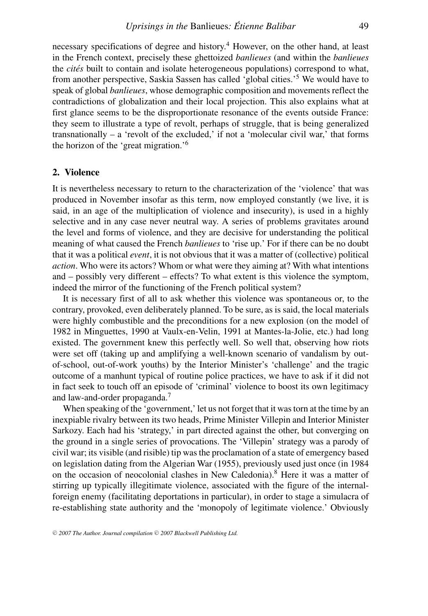necessary specifications of degree and history.<sup>4</sup> However, on the other hand, at least in the French context, precisely these ghettoized *banlieues* (and within the *banlieues* the *cites´* built to contain and isolate heterogeneous populations) correspond to what, from another perspective, Saskia Sassen has called 'global cities.'5 We would have to speak of global *banlieues*, whose demographic composition and movements reflect the contradictions of globalization and their local projection. This also explains what at first glance seems to be the disproportionate resonance of the events outside France: they seem to illustrate a type of revolt, perhaps of struggle, that is being generalized transnationally – a 'revolt of the excluded,' if not a 'molecular civil war,' that forms the horizon of the 'great migration.'<sup>6</sup>

### **2. Violence**

It is nevertheless necessary to return to the characterization of the 'violence' that was produced in November insofar as this term, now employed constantly (we live, it is said, in an age of the multiplication of violence and insecurity), is used in a highly selective and in any case never neutral way. A series of problems gravitates around the level and forms of violence, and they are decisive for understanding the political meaning of what caused the French *banlieues* to 'rise up.' For if there can be no doubt that it was a political *event*, it is not obvious that it was a matter of (collective) political *action*. Who were its actors? Whom or what were they aiming at? With what intentions and – possibly very different – effects? To what extent is this violence the symptom, indeed the mirror of the functioning of the French political system?

It is necessary first of all to ask whether this violence was spontaneous or, to the contrary, provoked, even deliberately planned. To be sure, as is said, the local materials were highly combustible and the preconditions for a new explosion (on the model of 1982 in Minguettes, 1990 at Vaulx-en-Velin, 1991 at Mantes-la-Jolie, etc.) had long existed. The government knew this perfectly well. So well that, observing how riots were set off (taking up and amplifying a well-known scenario of vandalism by outof-school, out-of-work youths) by the Interior Minister's 'challenge' and the tragic outcome of a manhunt typical of routine police practices, we have to ask if it did not in fact seek to touch off an episode of 'criminal' violence to boost its own legitimacy and law-and-order propaganda.<sup>7</sup>

When speaking of the 'government,' let us not forget that it was torn at the time by an inexpiable rivalry between its two heads, Prime Minister Villepin and Interior Minister Sarkozy. Each had his 'strategy,' in part directed against the other, but converging on the ground in a single series of provocations. The 'Villepin' strategy was a parody of civil war; its visible (and risible) tip was the proclamation of a state of emergency based on legislation dating from the Algerian War (1955), previously used just once (in 1984 on the occasion of neocolonial clashes in New Caledonia).8 Here it was a matter of stirring up typically illegitimate violence, associated with the figure of the internalforeign enemy (facilitating deportations in particular), in order to stage a simulacra of re-establishing state authority and the 'monopoly of legitimate violence.' Obviously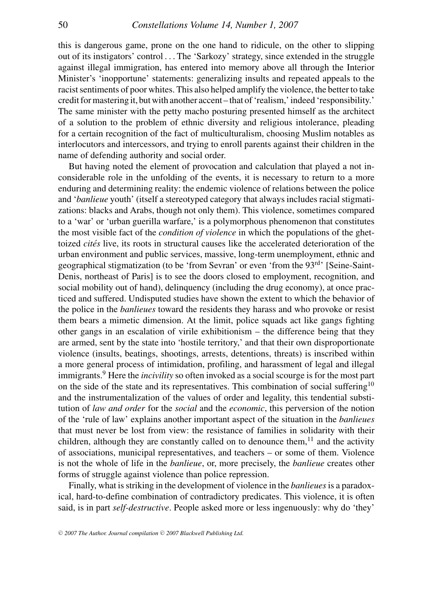this is dangerous game, prone on the one hand to ridicule, on the other to slipping out of its instigators' control ... The 'Sarkozy' strategy, since extended in the struggle against illegal immigration, has entered into memory above all through the Interior Minister's 'inopportune' statements: generalizing insults and repeated appeals to the racist sentiments of poor whites. This also helped amplify the violence, the better to take credit for mastering it, but with another accent – that of 'realism,' indeed 'responsibility.' The same minister with the petty macho posturing presented himself as the architect of a solution to the problem of ethnic diversity and religious intolerance, pleading for a certain recognition of the fact of multiculturalism, choosing Muslim notables as interlocutors and intercessors, and trying to enroll parents against their children in the name of defending authority and social order.

But having noted the element of provocation and calculation that played a not inconsiderable role in the unfolding of the events, it is necessary to return to a more enduring and determining reality: the endemic violence of relations between the police and '*banlieue* youth' (itself a stereotyped category that always includes racial stigmatizations: blacks and Arabs, though not only them). This violence, sometimes compared to a 'war' or 'urban guerilla warfare,' is a polymorphous phenomenon that constitutes the most visible fact of the *condition of violence* in which the populations of the ghettoized *cités* live, its roots in structural causes like the accelerated deterioration of the urban environment and public services, massive, long-term unemployment, ethnic and geographical stigmatization (to be 'from Sevran' or even 'from the 93rd' [Seine-Saint-Denis, northeast of Paris] is to see the doors closed to employment, recognition, and social mobility out of hand), delinquency (including the drug economy), at once practiced and suffered. Undisputed studies have shown the extent to which the behavior of the police in the *banlieues* toward the residents they harass and who provoke or resist them bears a mimetic dimension. At the limit, police squads act like gangs fighting other gangs in an escalation of virile exhibitionism – the difference being that they are armed, sent by the state into 'hostile territory,' and that their own disproportionate violence (insults, beatings, shootings, arrests, detentions, threats) is inscribed within a more general process of intimidation, profiling, and harassment of legal and illegal immigrants.<sup>9</sup> Here the *incivility* so often invoked as a social scourge is for the most part on the side of the state and its representatives. This combination of social suffering<sup>10</sup> and the instrumentalization of the values of order and legality, this tendential substitution of *law and order* for the *social* and the *economic*, this perversion of the notion of the 'rule of law' explains another important aspect of the situation in the *banlieues* that must never be lost from view: the resistance of families in solidarity with their children, although they are constantly called on to denounce them,  $\frac{11}{11}$  and the activity of associations, municipal representatives, and teachers – or some of them. Violence is not the whole of life in the *banlieue*, or, more precisely, the *banlieue* creates other forms of struggle against violence than police repression.

Finally, what is striking in the development of violence in the *banlieues*is a paradoxical, hard-to-define combination of contradictory predicates. This violence, it is often said, is in part *self-destructive*. People asked more or less ingenuously: why do 'they'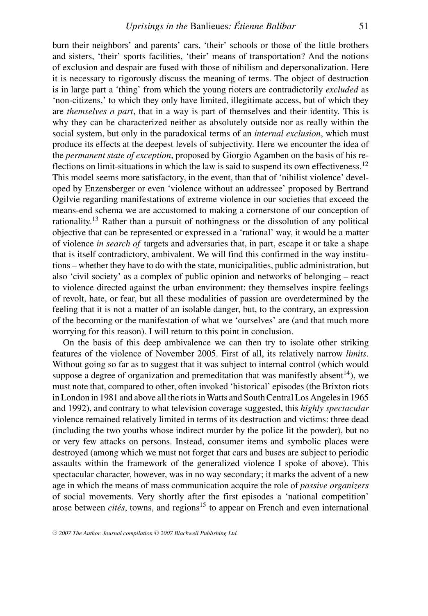burn their neighbors' and parents' cars, 'their' schools or those of the little brothers and sisters, 'their' sports facilities, 'their' means of transportation? And the notions of exclusion and despair are fused with those of nihilism and depersonalization. Here it is necessary to rigorously discuss the meaning of terms. The object of destruction is in large part a 'thing' from which the young rioters are contradictorily *excluded* as 'non-citizens,' to which they only have limited, illegitimate access, but of which they are *themselves a part*, that in a way is part of themselves and their identity. This is why they can be characterized neither as absolutely outside nor as really within the social system, but only in the paradoxical terms of an *internal exclusion*, which must produce its effects at the deepest levels of subjectivity. Here we encounter the idea of the *permanent state of exception*, proposed by Giorgio Agamben on the basis of his reflections on limit-situations in which the law is said to suspend its own effectiveness.<sup>12</sup> This model seems more satisfactory, in the event, than that of 'nihilist violence' developed by Enzensberger or even 'violence without an addressee' proposed by Bertrand Ogilvie regarding manifestations of extreme violence in our societies that exceed the means-end schema we are accustomed to making a cornerstone of our conception of rationality.13 Rather than a pursuit of nothingness or the dissolution of any political objective that can be represented or expressed in a 'rational' way, it would be a matter of violence *in search of* targets and adversaries that, in part, escape it or take a shape that is itself contradictory, ambivalent. We will find this confirmed in the way institutions – whether they have to do with the state, municipalities, public administration, but also 'civil society' as a complex of public opinion and networks of belonging – react to violence directed against the urban environment: they themselves inspire feelings of revolt, hate, or fear, but all these modalities of passion are overdetermined by the feeling that it is not a matter of an isolable danger, but, to the contrary, an expression of the becoming or the manifestation of what we 'ourselves' are (and that much more worrying for this reason). I will return to this point in conclusion.

On the basis of this deep ambivalence we can then try to isolate other striking features of the violence of November 2005. First of all, its relatively narrow *limits*. Without going so far as to suggest that it was subject to internal control (which would suppose a degree of organization and premeditation that was manifestly absent<sup>14</sup>), we must note that, compared to other, often invoked 'historical' episodes (the Brixton riots in London in 1981 and above all the riots in Watts and South Central Los Angeles in 1965 and 1992), and contrary to what television coverage suggested, this *highly spectacular* violence remained relatively limited in terms of its destruction and victims: three dead (including the two youths whose indirect murder by the police lit the powder), but no or very few attacks on persons. Instead, consumer items and symbolic places were destroyed (among which we must not forget that cars and buses are subject to periodic assaults within the framework of the generalized violence I spoke of above). This spectacular character, however, was in no way secondary; it marks the advent of a new age in which the means of mass communication acquire the role of *passive organizers* of social movements. Very shortly after the first episodes a 'national competition' arose between *cités*, towns, and regions<sup>15</sup> to appear on French and even international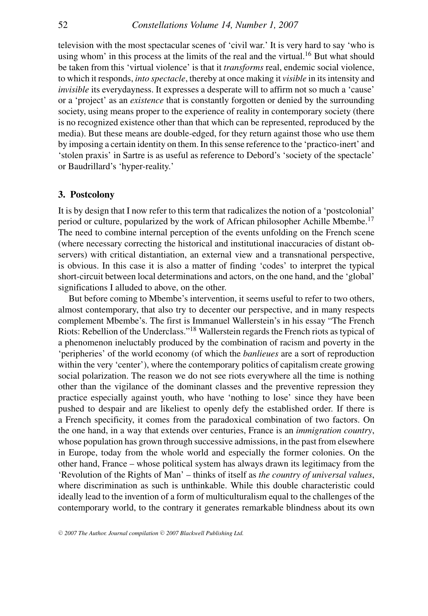television with the most spectacular scenes of 'civil war.' It is very hard to say 'who is using whom' in this process at the limits of the real and the virtual.<sup>16</sup> But what should be taken from this 'virtual violence' is that it *transforms* real, endemic social violence, to which it responds, *into spectacle*, thereby at once making it *visible* in its intensity and *invisible* its everydayness. It expresses a desperate will to affirm not so much a 'cause' or a 'project' as an *existence* that is constantly forgotten or denied by the surrounding society, using means proper to the experience of reality in contemporary society (there is no recognized existence other than that which can be represented, reproduced by the media). But these means are double-edged, for they return against those who use them by imposing a certain identity on them. In this sense reference to the 'practico-inert' and 'stolen praxis' in Sartre is as useful as reference to Debord's 'society of the spectacle' or Baudrillard's 'hyper-reality.'

#### **3. Postcolony**

It is by design that I now refer to this term that radicalizes the notion of a 'postcolonial' period or culture, popularized by the work of African philosopher Achille Mbembe.<sup>17</sup> The need to combine internal perception of the events unfolding on the French scene (where necessary correcting the historical and institutional inaccuracies of distant observers) with critical distantiation, an external view and a transnational perspective, is obvious. In this case it is also a matter of finding 'codes' to interpret the typical short-circuit between local determinations and actors, on the one hand, and the 'global' significations I alluded to above, on the other.

But before coming to Mbembe's intervention, it seems useful to refer to two others, almost contemporary, that also try to decenter our perspective, and in many respects complement Mbembe's. The first is Immanuel Wallerstein's in his essay "The French Riots: Rebellion of the Underclass."18 Wallerstein regards the French riots as typical of a phenomenon ineluctably produced by the combination of racism and poverty in the 'peripheries' of the world economy (of which the *banlieues* are a sort of reproduction within the very 'center'), where the contemporary politics of capitalism create growing social polarization. The reason we do not see riots everywhere all the time is nothing other than the vigilance of the dominant classes and the preventive repression they practice especially against youth, who have 'nothing to lose' since they have been pushed to despair and are likeliest to openly defy the established order. If there is a French specificity, it comes from the paradoxical combination of two factors. On the one hand, in a way that extends over centuries, France is an *immigration country*, whose population has grown through successive admissions, in the past from elsewhere in Europe, today from the whole world and especially the former colonies. On the other hand, France – whose political system has always drawn its legitimacy from the 'Revolution of the Rights of Man' – thinks of itself as *the country of universal values*, where discrimination as such is unthinkable. While this double characteristic could ideally lead to the invention of a form of multiculturalism equal to the challenges of the contemporary world, to the contrary it generates remarkable blindness about its own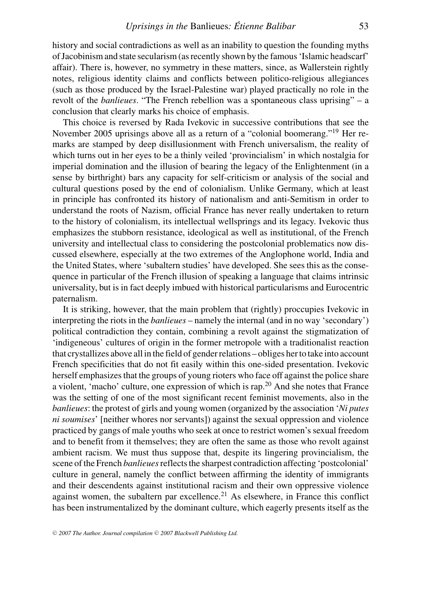history and social contradictions as well as an inability to question the founding myths of Jacobinism and state secularism (as recently shown by the famous 'Islamic headscarf' affair). There is, however, no symmetry in these matters, since, as Wallerstein rightly notes, religious identity claims and conflicts between politico-religious allegiances (such as those produced by the Israel-Palestine war) played practically no role in the revolt of the *banlieues*. "The French rebellion was a spontaneous class uprising" – a conclusion that clearly marks his choice of emphasis.

This choice is reversed by Rada Ivekovic in successive contributions that see the November 2005 uprisings above all as a return of a "colonial boomerang."19 Her remarks are stamped by deep disillusionment with French universalism, the reality of which turns out in her eyes to be a thinly veiled 'provincialism' in which nostalgia for imperial domination and the illusion of bearing the legacy of the Enlightenment (in a sense by birthright) bars any capacity for self-criticism or analysis of the social and cultural questions posed by the end of colonialism. Unlike Germany, which at least in principle has confronted its history of nationalism and anti-Semitism in order to understand the roots of Nazism, official France has never really undertaken to return to the history of colonialism, its intellectual wellsprings and its legacy. Ivekovic thus emphasizes the stubborn resistance, ideological as well as institutional, of the French university and intellectual class to considering the postcolonial problematics now discussed elsewhere, especially at the two extremes of the Anglophone world, India and the United States, where 'subaltern studies' have developed. She sees this as the consequence in particular of the French illusion of speaking a language that claims intrinsic universality, but is in fact deeply imbued with historical particularisms and Eurocentric paternalism.

It is striking, however, that the main problem that (rightly) proccupies Ivekovic in interpreting the riots in the *banlieues* – namely the internal (and in no way 'secondary') political contradiction they contain, combining a revolt against the stigmatization of 'indigeneous' cultures of origin in the former metropole with a traditionalist reaction that crystallizes above all in the field of gender relations – obliges her to take into account French specificities that do not fit easily within this one-sided presentation. Ivekovic herself emphasizes that the groups of young rioters who face off against the police share a violent, 'macho' culture, one expression of which is rap.<sup>20</sup> And she notes that France was the setting of one of the most significant recent feminist movements, also in the *banlieues*: the protest of girls and young women (organized by the association '*Ni putes ni soumises*' [neither whores nor servants]) against the sexual oppression and violence practiced by gangs of male youths who seek at once to restrict women's sexual freedom and to benefit from it themselves; they are often the same as those who revolt against ambient racism. We must thus suppose that, despite its lingering provincialism, the scene of the French *banlieues*reflects the sharpest contradiction affecting 'postcolonial' culture in general, namely the conflict between affirming the identity of immigrants and their descendents against institutional racism and their own oppressive violence against women, the subaltern par excellence.<sup>21</sup> As elsewhere, in France this conflict has been instrumentalized by the dominant culture, which eagerly presents itself as the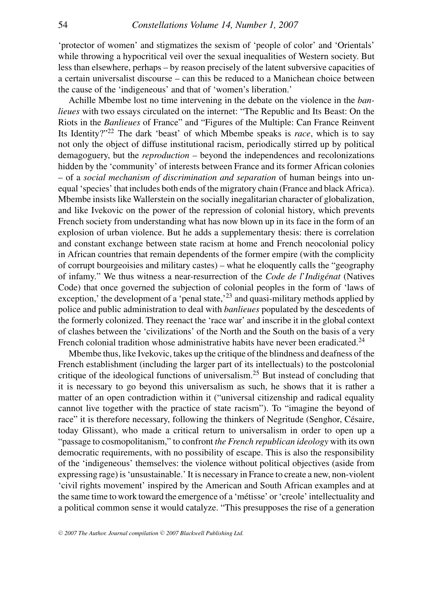'protector of women' and stigmatizes the sexism of 'people of color' and 'Orientals' while throwing a hypocritical veil over the sexual inequalities of Western society. But less than elsewhere, perhaps – by reason precisely of the latent subversive capacities of a certain universalist discourse – can this be reduced to a Manichean choice between the cause of the 'indigeneous' and that of 'women's liberation.'

Achille Mbembe lost no time intervening in the debate on the violence in the *banlieues* with two essays circulated on the internet: "The Republic and Its Beast: On the Riots in the *Banlieues* of France" and "Figures of the Multiple: Can France Reinvent Its Identity?"22 The dark 'beast' of which Mbembe speaks is *race*, which is to say not only the object of diffuse institutional racism, periodically stirred up by political demagoguery, but the *reproduction –* beyond the independences and recolonizations hidden by the 'community' of interests between France and its former African colonies – of a *social mechanism of discrimination and separation* of human beings into unequal 'species' that includes both ends of the migratory chain (France and black Africa). Mbembe insists like Wallerstein on the socially inegalitarian character of globalization, and like Ivekovic on the power of the repression of colonial history, which prevents French society from understanding what has now blown up in its face in the form of an explosion of urban violence. But he adds a supplementary thesis: there is correlation and constant exchange between state racism at home and French neocolonial policy in African countries that remain dependents of the former empire (with the complicity of corrupt bourgeoisies and military castes) – what he eloquently calls the "geography of infamy." We thus witness a near-resurrection of the *Code de l*'*Indigenat ´* (Natives Code) that once governed the subjection of colonial peoples in the form of 'laws of exception,' the development of a 'penal state,'<sup>23</sup> and quasi-military methods applied by police and public administration to deal with *banlieues* populated by the descedents of the formerly colonized. They reenact the 'race war' and inscribe it in the global context of clashes between the 'civilizations' of the North and the South on the basis of a very French colonial tradition whose administrative habits have never been eradicated.<sup>24</sup>

Mbembe thus, like Ivekovic, takes up the critique of the blindness and deafness of the French establishment (including the larger part of its intellectuals) to the postcolonial critique of the ideological functions of universalism.25 But instead of concluding that it is necessary to go beyond this universalism as such, he shows that it is rather a matter of an open contradiction within it ("universal citizenship and radical equality cannot live together with the practice of state racism"). To "imagine the beyond of race" it is therefore necessary, following the thinkers of Negritude (Senghor, Césaire, today Glissant), who made a critical return to universalism in order to open up a "passage to cosmopolitanism," to confront *the French republican ideology* with its own democratic requirements, with no possibility of escape. This is also the responsibility of the 'indigeneous' themselves: the violence without political objectives (aside from expressing rage) is 'unsustainable.' It is necessary in France to create a new, non-violent 'civil rights movement' inspired by the American and South African examples and at the same time to work toward the emergence of a 'métisse' or 'creole' intellectuality and a political common sense it would catalyze. "This presupposes the rise of a generation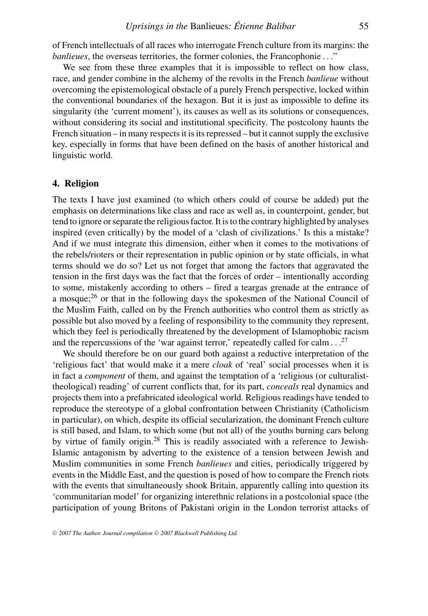of French intellectuals of all races who interrogate French culture from its margins: the *banlieues*, the overseas territories, the former colonies, the Francophonie ..."

We see from these three examples that it is impossible to reflect on how class, race, and gender combine in the alchemy of the revolts in the French *banlieue* without overcoming the epistemological obstacle of a purely French perspective, locked within the conventional boundaries of the hexagon. But it is just as impossible to define its singularity (the 'current moment'), its causes as well as its solutions or consequences, without considering its social and institutional specificity. The postcolony haunts the French situation – in many respects it is its repressed – but it cannot supply the exclusive key, especially in forms that have been defined on the basis of another historical and linguistic world.

#### **4. Religion**

The texts I have just examined (to which others could of course be added) put the emphasis on determinations like class and race as well as, in counterpoint, gender, but tend to ignore or separate the religious factor. It is to the contrary highlighted by analyses inspired (even critically) by the model of a 'clash of civilizations.' Is this a mistake? And if we must integrate this dimension, either when it comes to the motivations of the rebels/rioters or their representation in public opinion or by state officials, in what terms should we do so? Let us not forget that among the factors that aggravated the tension in the first days was the fact that the forces of order – intentionally according to some, mistakenly according to others – fired a teargas grenade at the entrance of a mosque; $^{26}$  or that in the following days the spokesmen of the National Council of the Muslim Faith, called on by the French authorities who control them as strictly as possible but also moved by a feeling of responsibility to the community they represent, which they feel is periodically threatened by the development of Islamophobic racism and the repercussions of the 'war against terror,' repeatedly called for calm  $\ldots$ <sup>27</sup>

We should therefore be on our guard both against a reductive interpretation of the 'religious fact' that would make it a mere *cloak* of 'real' social processes when it is in fact a *component* of them, and against the temptation of a 'religious (or culturalisttheological) reading' of current conflicts that, for its part, *conceals* real dynamics and projects them into a prefabricated ideological world. Religious readings have tended to reproduce the stereotype of a global confrontation between Christianity (Catholicism in particular), on which, despite its official secularization, the dominant French culture is still based, and Islam, to which some (but not all) of the youths burning cars belong by virtue of family origin.<sup>28</sup> This is readily associated with a reference to Jewish-Islamic antagonism by adverting to the existence of a tension between Jewish and Muslim communities in some French *banlieues* and cities, periodically triggered by events in the Middle East, and the question is posed of how to compare the French riots with the events that simultaneously shook Britain, apparently calling into question its 'communitarian model' for organizing interethnic relations in a postcolonial space (the participation of young Britons of Pakistani origin in the London terrorist attacks of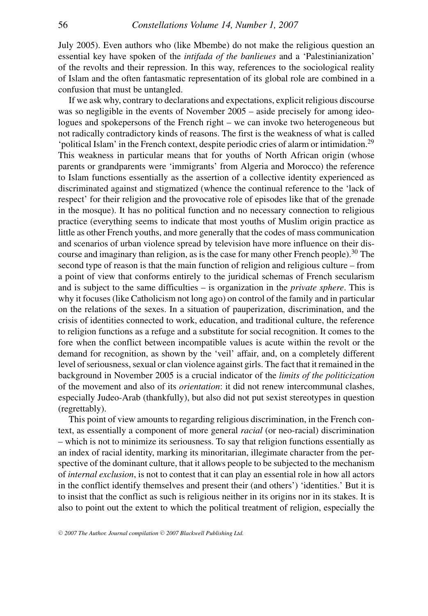July 2005). Even authors who (like Mbembe) do not make the religious question an essential key have spoken of the *intifada of the banlieues* and a 'Palestinianization' of the revolts and their repression. In this way, references to the sociological reality of Islam and the often fantasmatic representation of its global role are combined in a confusion that must be untangled.

If we ask why, contrary to declarations and expectations, explicit religious discourse was so negligible in the events of November 2005 – aside precisely for among ideologues and spokepersons of the French right – we can invoke two heterogeneous but not radically contradictory kinds of reasons. The first is the weakness of what is called 'political Islam' in the French context, despite periodic cries of alarm or intimidation.29 This weakness in particular means that for youths of North African origin (whose parents or grandparents were 'immigrants' from Algeria and Morocco) the reference to Islam functions essentially as the assertion of a collective identity experienced as discriminated against and stigmatized (whence the continual reference to the 'lack of respect' for their religion and the provocative role of episodes like that of the grenade in the mosque). It has no political function and no necessary connection to religious practice (everything seems to indicate that most youths of Muslim origin practice as little as other French youths, and more generally that the codes of mass communication and scenarios of urban violence spread by television have more influence on their discourse and imaginary than religion, as is the case for many other French people).<sup>30</sup> The second type of reason is that the main function of religion and religious culture – from a point of view that conforms entirely to the juridical schemas of French secularism and is subject to the same difficulties – is organization in the *private sphere*. This is why it focuses (like Catholicism not long ago) on control of the family and in particular on the relations of the sexes. In a situation of pauperization, discrimination, and the crisis of identities connected to work, education, and traditional culture, the reference to religion functions as a refuge and a substitute for social recognition. It comes to the fore when the conflict between incompatible values is acute within the revolt or the demand for recognition, as shown by the 'veil' affair, and, on a completely different level of seriousness, sexual or clan violence against girls. The fact that it remained in the background in November 2005 is a crucial indicator of the *limits of the politicization* of the movement and also of its *orientation*: it did not renew intercommunal clashes, especially Judeo-Arab (thankfully), but also did not put sexist stereotypes in question (regrettably).

This point of view amounts to regarding religious discrimination, in the French context, as essentially a component of more general *racial* (or neo-racial) discrimination – which is not to minimize its seriousness. To say that religion functions essentially as an index of racial identity, marking its minoritarian, illegimate character from the perspective of the dominant culture, that it allows people to be subjected to the mechanism of *internal exclusion*, is not to contest that it can play an essential role in how all actors in the conflict identify themselves and present their (and others') 'identities.' But it is to insist that the conflict as such is religious neither in its origins nor in its stakes. It is also to point out the extent to which the political treatment of religion, especially the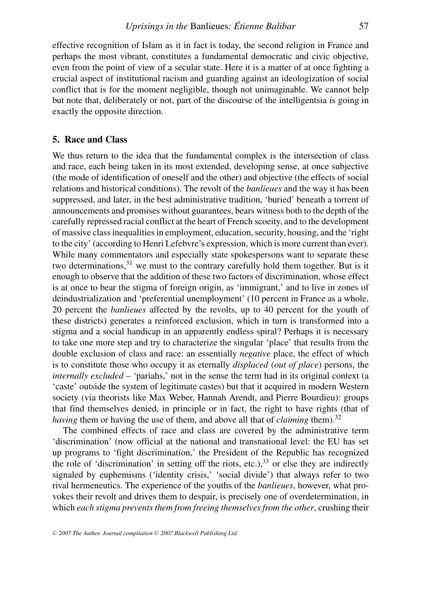effective recognition of Islam as it in fact is today, the second religion in France and perhaps the most vibrant, constitutes a fundamental democratic and civic objective, even from the point of view of a secular state. Here it is a matter of at once fighting a crucial aspect of institutional racism and guarding against an ideologization of social conflict that is for the moment negligible, though not unimaginable. We cannot help but note that, deliberately or not, part of the discourse of the intelligentsia is going in exactly the opposite direction.

#### **5. Race and Class**

We thus return to the idea that the fundamental complex is the intersection of class and race, each being taken in its most extended, developing sense, at once subjective (the mode of identification of oneself and the other) and objective (the effects of social relations and historical conditions). The revolt of the *banlieues* and the way it has been suppressed, and later, in the best administrative tradition, 'buried' beneath a torrent of announcements and promises without guarantees, bears witness both to the depth of the carefully repressed racial conflict at the heart of French scoeity, and to the development of massive class inequalities in employment, education, security, housing, and the 'right to the city' (according to Henri Lefebvre's expression, which is more current than ever). While many commentators and especially state spokespersons want to separate these two determinations,<sup>31</sup> we must to the contrary carefully hold them together. But is it enough to observe that the addition of these two factors of discrimination, whose effect is at once to bear the stigma of foreign origin, as 'immigrant,' and to live in zones of deindustrialization and 'preferential unemployment' (10 percent in France as a whole, 20 percent the *banlieues* affected by the revolts, up to 40 percent for the youth of these districts) generates a reinforced exclusion, which in turn is transformed into a stigma and a social handicap in an apparently endless spiral? Perhaps it is necessary to take one more step and try to characterize the singular 'place' that results from the double exclusion of class and race: an essentially *negative* place, the effect of which is to constitute those who occupy it as eternally *displaced* (*out of place*) persons, the *internally excluded* – 'pariahs,' not in the sense the term had in its original context (a 'caste' outside the system of legitimate castes) but that it acquired in modern Western society (via theorists like Max Weber, Hannah Arendt, and Pierre Bourdieu): groups that find themselves denied, in principle or in fact, the right to have rights (that of *having* them or having the use of them, and above all that of *claiming* them).<sup>32</sup>

The combined effects of race and class are covered by the administrative term 'discrimination' (now official at the national and transnational level: the EU has set up programs to 'fight discrimination,' the President of the Republic has recognized the role of 'discrimination' in setting off the riots, etc.),  $33$  or else they are indirectly signaled by euphemisms ('identity crisis,' 'social divide') that always refer to two rival hermeneutics. The experience of the youths of the *banlieues*, however, what provokes their revolt and drives them to despair, is precisely one of overdetermination, in which *each stigma prevents them from freeing themselves from the other*, crushing their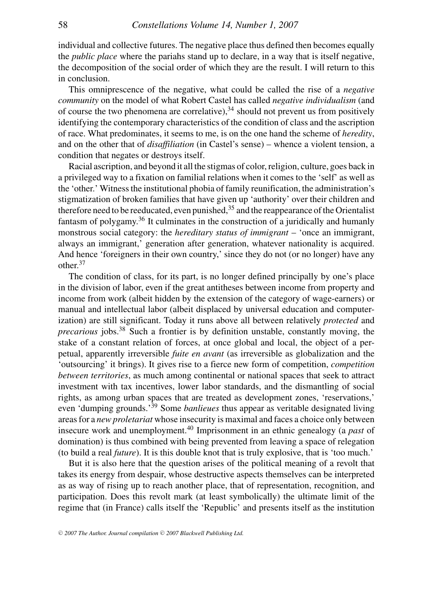individual and collective futures. The negative place thus defined then becomes equally the *public place* where the pariahs stand up to declare, in a way that is itself negative, the decomposition of the social order of which they are the result. I will return to this in conclusion.

This omniprescence of the negative, what could be called the rise of a *negative community* on the model of what Robert Castel has called *negative individualism* (and of course the two phenomena are correlative), $34$  should not prevent us from positively identifying the contemporary characteristics of the condition of class and the ascription of race. What predominates, it seems to me, is on the one hand the scheme of *heredity*, and on the other that of *disaffiliation* (in Castel's sense) – whence a violent tension, a condition that negates or destroys itself.

Racial ascription, and beyond it all the stigmas of color, religion, culture, goes back in a privileged way to a fixation on familial relations when it comes to the 'self' as well as the 'other.' Witness the institutional phobia of family reunification, the administration's stigmatization of broken families that have given up 'authority' over their children and therefore need to be reeducated, even punished,  $35$  and the reappearance of the Orientalist fantasm of polygamy.36 It culminates in the construction of a juridically and humanly monstrous social category: the *hereditary status of immigrant* – 'once an immigrant, always an immigrant,' generation after generation, whatever nationality is acquired. And hence 'foreigners in their own country,' since they do not (or no longer) have any other.<sup>37</sup>

The condition of class, for its part, is no longer defined principally by one's place in the division of labor, even if the great antitheses between income from property and income from work (albeit hidden by the extension of the category of wage-earners) or manual and intellectual labor (albeit displaced by universal education and computerization) are still significant. Today it runs above all between relatively *protected* and *precarious* jobs.<sup>38</sup> Such a frontier is by definition unstable, constantly moving, the stake of a constant relation of forces, at once global and local, the object of a perpetual, apparently irreversible *fuite en avant* (as irreversible as globalization and the 'outsourcing' it brings). It gives rise to a fierce new form of competition, *competition between territories*, as much among continental or national spaces that seek to attract investment with tax incentives, lower labor standards, and the dismantling of social rights, as among urban spaces that are treated as development zones, 'reservations,' even 'dumping grounds.'39 Some *banlieues* thus appear as veritable designated living areas for a *new proletariat* whose insecurity is maximal and faces a choice only between insecure work and unemployment.<sup>40</sup> Imprisonment in an ethnic genealogy (a *past* of domination) is thus combined with being prevented from leaving a space of relegation (to build a real *future*). It is this double knot that is truly explosive, that is 'too much.'

But it is also here that the question arises of the political meaning of a revolt that takes its energy from despair, whose destructive aspects themselves can be interpreted as as way of rising up to reach another place, that of representation, recognition, and participation. Does this revolt mark (at least symbolically) the ultimate limit of the regime that (in France) calls itself the 'Republic' and presents itself as the institution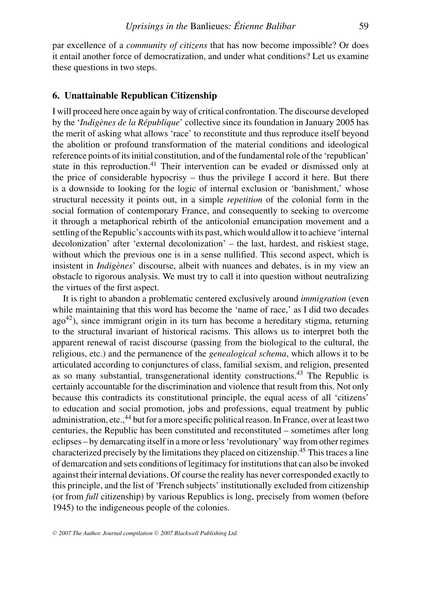par excellence of a *community of citizens* that has now become impossible? Or does it entail another force of democratization, and under what conditions? Let us examine these questions in two steps.

#### **6. Unattainable Republican Citizenship**

I will proceed here once again by way of critical confrontation. The discourse developed by the '*Indigenes de la R ` epublique ´* ' collective since its foundation in January 2005 has the merit of asking what allows 'race' to reconstitute and thus reproduce itself beyond the abolition or profound transformation of the material conditions and ideological reference points of its initial constitution, and of the fundamental role of the 'republican' state in this reproduction.<sup>41</sup> Their intervention can be evaded or dismissed only at the price of considerable hypocrisy – thus the privilege I accord it here. But there is a downside to looking for the logic of internal exclusion or 'banishment,' whose structural necessity it points out, in a simple *repetition* of the colonial form in the social formation of contemporary France, and consequently to seeking to overcome it through a metaphorical rebirth of the anticolonial emancipation movement and a settling of the Republic's accounts with its past, which would allow it to achieve 'internal decolonization' after 'external decolonization' – the last, hardest, and riskiest stage, without which the previous one is in a sense nullified. This second aspect, which is insistent in *Indigènes*' discourse, albeit with nuances and debates, is in my view an obstacle to rigorous analysis. We must try to call it into question without neutralizing the virtues of the first aspect.

It is right to abandon a problematic centered exclusively around *immigration* (even while maintaining that this word has become the 'name of race,' as I did two decades  $a\alpha^{2}$ ), since immigrant origin in its turn has become a hereditary stigma, returning to the structural invariant of historical racisms. This allows us to interpret both the apparent renewal of racist discourse (passing from the biological to the cultural, the religious, etc.) and the permanence of the *genealogical schema*, which allows it to be articulated according to conjunctures of class, familial sexism, and religion, presented as so many substantial, transgenerational identity constructions.<sup>43</sup> The Republic is certainly accountable for the discrimination and violence that result from this. Not only because this contradicts its constitutional principle, the equal acess of all 'citizens' to education and social promotion, jobs and professions, equal treatment by public administration, etc., <sup>44</sup> but for a more specific political reason. In France, over at least two centuries, the Republic has been constituted and reconstituted – sometimes after long eclipses – by demarcating itself in a more or less 'revolutionary' way from other regimes characterized precisely by the limitations they placed on citizenship.45 This traces a line of demarcation and sets conditions of legitimacy for institutions that can also be invoked against their internal deviations. Of course the reality has never corresponded exactly to this principle, and the list of 'French subjects' institutionally excluded from citizenship (or from *full* citizenship) by various Republics is long, precisely from women (before 1945) to the indigeneous people of the colonies.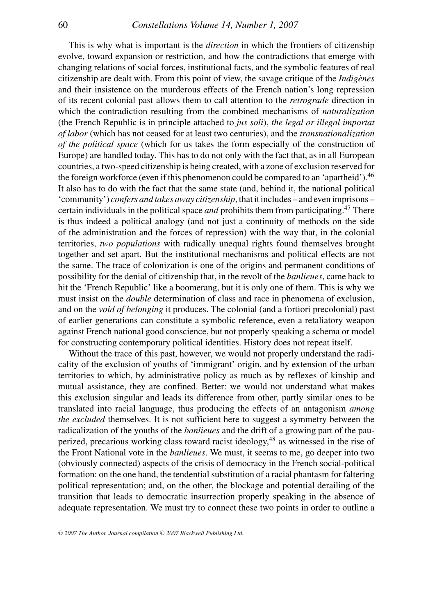#### 60 *Constellations Volume 14, Number 1, 2007*

This is why what is important is the *direction* in which the frontiers of citizenship evolve, toward expansion or restriction, and how the contradictions that emerge with changing relations of social forces, institutional facts, and the symbolic features of real citizenship are dealt with. From this point of view, the savage critique of the *Indigenes `* and their insistence on the murderous effects of the French nation's long repression of its recent colonial past allows them to call attention to the *retrograde* direction in which the contradiction resulting from the combined mechanisms of *naturalization* (the French Republic is in principle attached to *jus soli*), *the legal or illegal importat of labor* (which has not ceased for at least two centuries), and the *transnationalization of the political space* (which for us takes the form especially of the construction of Europe) are handled today. This has to do not only with the fact that, as in all European countries, a two-speed citizenship is being created, with a zone of exclusion reserved for the foreign workforce (even if this phenomenon could be compared to an 'apartheid').<sup>46</sup> It also has to do with the fact that the same state (and, behind it, the national political 'community') *confers and takes away citizenship*, that it includes – and even imprisons – certain individuals in the political space *and* prohibits them from participating.47 There is thus indeed a political analogy (and not just a continuity of methods on the side of the administration and the forces of repression) with the way that, in the colonial territories, *two populations* with radically unequal rights found themselves brought together and set apart. But the institutional mechanisms and political effects are not the same. The trace of colonization is one of the origins and permanent conditions of possibility for the denial of citizenship that, in the revolt of the *banlieues*, came back to hit the 'French Republic' like a boomerang, but it is only one of them. This is why we must insist on the *double* determination of class and race in phenomena of exclusion, and on the *void of belonging* it produces. The colonial (and a fortiori precolonial) past of earlier generations can constitute a symbolic reference, even a retaliatory weapon against French national good conscience, but not properly speaking a schema or model for constructing contemporary political identities. History does not repeat itself.

Without the trace of this past, however, we would not properly understand the radicality of the exclusion of youths of 'immigrant' origin, and by extension of the urban territories to which, by administrative policy as much as by reflexes of kinship and mutual assistance, they are confined. Better: we would not understand what makes this exclusion singular and leads its difference from other, partly similar ones to be translated into racial language, thus producing the effects of an antagonism *among the excluded* themselves. It is not sufficient here to suggest a symmetry between the radicalization of the youths of the *banlieues* and the drift of a growing part of the pauperized, precarious working class toward racist ideology,<sup>48</sup> as witnessed in the rise of the Front National vote in the *banlieues*. We must, it seems to me, go deeper into two (obviously connected) aspects of the crisis of democracy in the French social-political formation: on the one hand, the tendential substitution of a racial phantasm for faltering political representation; and, on the other, the blockage and potential derailing of the transition that leads to democratic insurrection properly speaking in the absence of adequate representation. We must try to connect these two points in order to outline a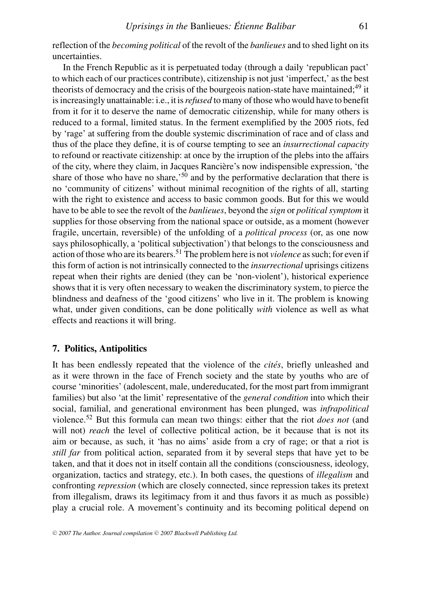reflection of the *becoming political* of the revolt of the *banlieues* and to shed light on its uncertainties.

In the French Republic as it is perpetuated today (through a daily 'republican pact' to which each of our practices contribute), citizenship is not just 'imperfect,' as the best theorists of democracy and the crisis of the bourgeois nation-state have maintained;<sup>49</sup> it is increasingly unattainable: i.e., it is*refused* to many of those who would have to benefit from it for it to deserve the name of democratic citizenship, while for many others is reduced to a formal, limited status. In the ferment exemplified by the 2005 riots, fed by 'rage' at suffering from the double systemic discrimination of race and of class and thus of the place they define, it is of course tempting to see an *insurrectional capacity* to refound or reactivate citizenship: at once by the irruption of the plebs into the affairs of the city, where they claim, in Jacques Rancière's now indispensible expression, 'the share of those who have no share,<sup>50</sup> and by the performative declaration that there is no 'community of citizens' without minimal recognition of the rights of all, starting with the right to existence and access to basic common goods. But for this we would have to be able to see the revolt of the *banlieues*, beyond the *sign* or *political symptom* it supplies for those observing from the national space or outside, as a moment (however fragile, uncertain, reversible) of the unfolding of a *political process* (or, as one now says philosophically, a 'political subjectivation') that belongs to the consciousness and action of those who are its bearers.<sup>51</sup> The problem here is not *violence* as such; for even if this form of action is not intrinsically connected to the *insurrectional* uprisings citizens repeat when their rights are denied (they can be 'non-violent'), historical experience shows that it is very often necessary to weaken the discriminatory system, to pierce the blindness and deafness of the 'good citizens' who live in it. The problem is knowing what, under given conditions, can be done politically *with* violence as well as what effects and reactions it will bring.

#### **7. Politics, Antipolitics**

It has been endlessly repeated that the violence of the *cités*, briefly unleashed and as it were thrown in the face of French society and the state by youths who are of course 'minorities' (adolescent, male, undereducated, for the most part from immigrant families) but also 'at the limit' representative of the *general condition* into which their social, familial, and generational environment has been plunged, was *infrapolitical* violence.52 But this formula can mean two things: either that the riot *does not* (and will not) *reach* the level of collective political action, be it because that is not its aim or because, as such, it 'has no aims' aside from a cry of rage; or that a riot is *still far* from political action, separated from it by several steps that have yet to be taken, and that it does not in itself contain all the conditions (consciousness, ideology, organization, tactics and strategy, etc.). In both cases, the questions of *illegalism* and confronting *repression* (which are closely connected, since repression takes its pretext from illegalism, draws its legitimacy from it and thus favors it as much as possible) play a crucial role. A movement's continuity and its becoming political depend on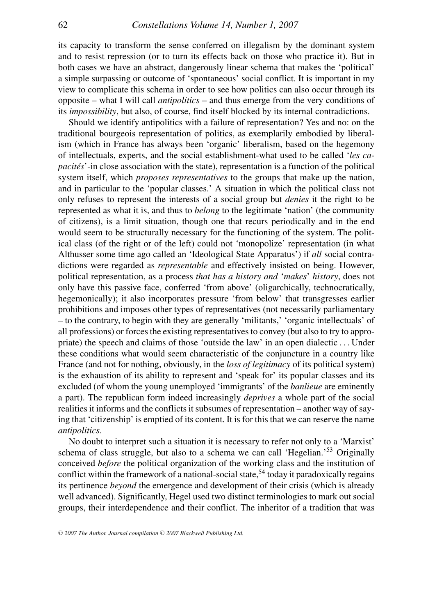its capacity to transform the sense conferred on illegalism by the dominant system and to resist repression (or to turn its effects back on those who practice it). But in both cases we have an abstract, dangerously linear schema that makes the 'political' a simple surpassing or outcome of 'spontaneous' social conflict. It is important in my view to complicate this schema in order to see how politics can also occur through its opposite – what I will call *antipolitics* – and thus emerge from the very conditions of its *impossibility*, but also, of course, find itself blocked by its internal contradictions.

Should we identify antipolitics with a failure of representation? Yes and no: on the traditional bourgeois representation of politics, as exemplarily embodied by liberalism (which in France has always been 'organic' liberalism, based on the hegemony of intellectuals, experts, and the social establishment-what used to be called '*les capacites´* '-in close association with the state), representation is a function of the political system itself, which *proposes representatives* to the groups that make up the nation, and in particular to the 'popular classes.' A situation in which the political class not only refuses to represent the interests of a social group but *denies* it the right to be represented as what it is, and thus to *belong* to the legitimate 'nation' (the community of citizens), is a limit situation, though one that recurs periodically and in the end would seem to be structurally necessary for the functioning of the system. The political class (of the right or of the left) could not 'monopolize' representation (in what Althusser some time ago called an 'Ideological State Apparatus') if *all* social contradictions were regarded as *representable* and effectively insisted on being. However, political representation, as a process *that has a history and* '*makes*' *history*, does not only have this passive face, conferred 'from above' (oligarchically, technocratically, hegemonically); it also incorporates pressure 'from below' that transgresses earlier prohibitions and imposes other types of representatives (not necessarily parliamentary – to the contrary, to begin with they are generally 'militants,' 'organic intellectuals' of all professions) or forces the existing representatives to convey (but also to try to appropriate) the speech and claims of those 'outside the law' in an open dialectic ... Under these conditions what would seem characteristic of the conjuncture in a country like France (and not for nothing, obviously, in the *loss of legitimacy* of its political system) is the exhaustion of its ability to represent and 'speak for' its popular classes and its excluded (of whom the young unemployed 'immigrants' of the *banlieue* are eminently a part). The republican form indeed increasingly *deprives* a whole part of the social realities it informs and the conflicts it subsumes of representation – another way of saying that 'citizenship' is emptied of its content. It is for this that we can reserve the name *antipolitics*.

No doubt to interpret such a situation it is necessary to refer not only to a 'Marxist' schema of class struggle, but also to a schema we can call 'Hegelian.'53 Originally conceived *before* the political organization of the working class and the institution of conflict within the framework of a national-social state,<sup>54</sup> today it paradoxically regains its pertinence *beyond* the emergence and development of their crisis (which is already well advanced). Significantly, Hegel used two distinct terminologies to mark out social groups, their interdependence and their conflict. The inheritor of a tradition that was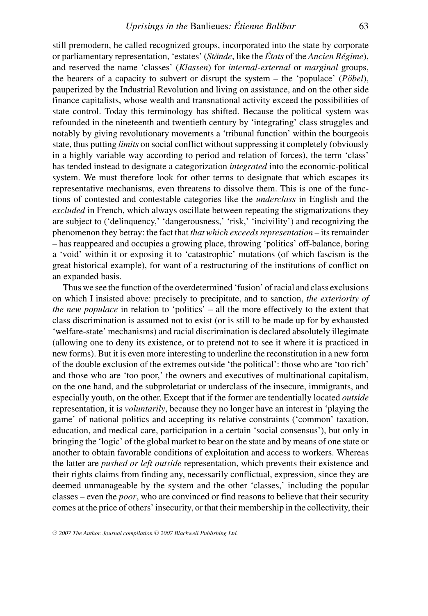still premodern, he called recognized groups, incorporated into the state by corporate or parliamentary representation, 'estates' (*Stände*, like the *États* of the *Ancien Régime*), and reserved the name 'classes' (*Klassen*) for *internal-external* or *marginal* groups, the bearers of a capacity to subvert or disrupt the system – the 'populace'  $(Pöbel)$ , pauperized by the Industrial Revolution and living on assistance, and on the other side finance capitalists, whose wealth and transnational activity exceed the possibilities of state control. Today this terminology has shifted. Because the political system was refounded in the nineteenth and twentieth century by 'integrating' class struggles and notably by giving revolutionary movements a 'tribunal function' within the bourgeois state, thus putting *limits* on social conflict without suppressing it completely (obviously in a highly variable way according to period and relation of forces), the term 'class' has tended instead to designate a categorization *integrated* into the economic-political system. We must therefore look for other terms to designate that which escapes its representative mechanisms, even threatens to dissolve them. This is one of the functions of contested and contestable categories like the *underclass* in English and the *excluded* in French, which always oscillate between repeating the stigmatizations they are subject to ('delinquency,' 'dangerousness,' 'risk,' 'incivility') and recognizing the phenomenon they betray: the fact that *that which exceeds representation* – its remainder – has reappeared and occupies a growing place, throwing 'politics' off-balance, boring a 'void' within it or exposing it to 'catastrophic' mutations (of which fascism is the great historical example), for want of a restructuring of the institutions of conflict on an expanded basis.

Thus we see the function of the overdetermined 'fusion' of racial and class exclusions on which I insisted above: precisely to precipitate, and to sanction, *the exteriority of the new populace* in relation to 'politics' – all the more effectively to the extent that class discrimination is assumed not to exist (or is still to be made up for by exhausted 'welfare-state' mechanisms) and racial discrimination is declared absolutely illegimate (allowing one to deny its existence, or to pretend not to see it where it is practiced in new forms). But it is even more interesting to underline the reconstitution in a new form of the double exclusion of the extremes outside 'the political': those who are 'too rich' and those who are 'too poor,' the owners and executives of multinational capitalism, on the one hand, and the subproletariat or underclass of the insecure, immigrants, and especially youth, on the other. Except that if the former are tendentially located *outside* representation, it is *voluntarily*, because they no longer have an interest in 'playing the game' of national politics and accepting its relative constraints ('common' taxation, education, and medical care, participation in a certain 'social consensus'), but only in bringing the 'logic' of the global market to bear on the state and by means of one state or another to obtain favorable conditions of exploitation and access to workers. Whereas the latter are *pushed or left outside* representation, which prevents their existence and their rights claims from finding any, necessarily conflictual, expression, since they are deemed unmanageable by the system and the other 'classes,' including the popular classes – even the *poor*, who are convinced or find reasons to believe that their security comes at the price of others' insecurity, or that their membership in the collectivity, their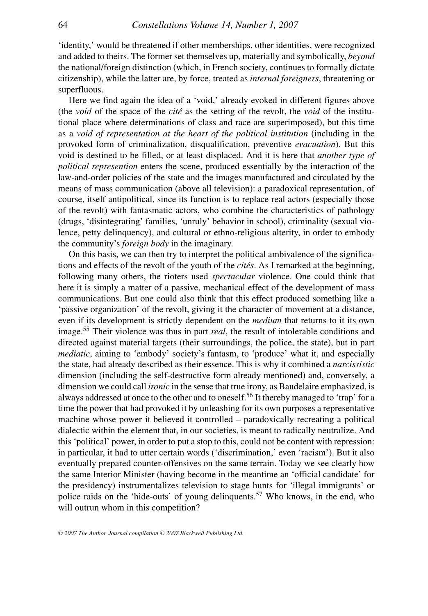'identity,' would be threatened if other memberships, other identities, were recognized and added to theirs. The former set themselves up, materially and symbolically, *beyond* the national/foreign distinction (which, in French society, continues to formally dictate citizenship), while the latter are, by force, treated as *internal foreigners*, threatening or superfluous.

Here we find again the idea of a 'void,' already evoked in different figures above (the *void* of the space of the *cite´* as the setting of the revolt, the *void* of the institutional place where determinations of class and race are superimposed), but this time as a *void of representation at the heart of the political institution* (including in the provoked form of criminalization, disqualification, preventive *evacuation*). But this void is destined to be filled, or at least displaced. And it is here that *another type of political represention* enters the scene, produced essentially by the interaction of the law-and-order policies of the state and the images manufactured and circulated by the means of mass communication (above all television): a paradoxical representation, of course, itself antipolitical, since its function is to replace real actors (especially those of the revolt) with fantasmatic actors, who combine the characteristics of pathology (drugs, 'disintegrating' families, 'unruly' behavior in school), criminality (sexual violence, petty delinquency), and cultural or ethno-religious alterity, in order to embody the community's *foreign body* in the imaginary.

On this basis, we can then try to interpret the political ambivalence of the significations and effects of the revolt of the youth of the *cites´* . As I remarked at the beginning, following many others, the rioters used *spectacular* violence. One could think that here it is simply a matter of a passive, mechanical effect of the development of mass communications. But one could also think that this effect produced something like a 'passive organization' of the revolt, giving it the character of movement at a distance, even if its development is strictly dependent on the *medium* that returns to it its own image.<sup>55</sup> Their violence was thus in part *real*, the result of intolerable conditions and directed against material targets (their surroundings, the police, the state), but in part *mediatic*, aiming to 'embody' society's fantasm, to 'produce' what it, and especially the state, had already described as their essence. This is why it combined a *narcissistic* dimension (including the self-destructive form already mentioned) and, conversely, a dimension we could call *ironic* in the sense that true irony, as Baudelaire emphasized, is always addressed at once to the other and to oneself.<sup>56</sup> It thereby managed to 'trap' for a time the power that had provoked it by unleashing for its own purposes a representative machine whose power it believed it controlled – paradoxically recreating a political dialectic within the element that, in our societies, is meant to radically neutralize. And this 'political' power, in order to put a stop to this, could not be content with repression: in particular, it had to utter certain words ('discrimination,' even 'racism'). But it also eventually prepared counter-offensives on the same terrain. Today we see clearly how the same Interior Minister (having become in the meantime an 'official candidate' for the presidency) instrumentalizes television to stage hunts for 'illegal immigrants' or police raids on the 'hide-outs' of young delinquents.<sup>57</sup> Who knows, in the end, who will outrun whom in this competition?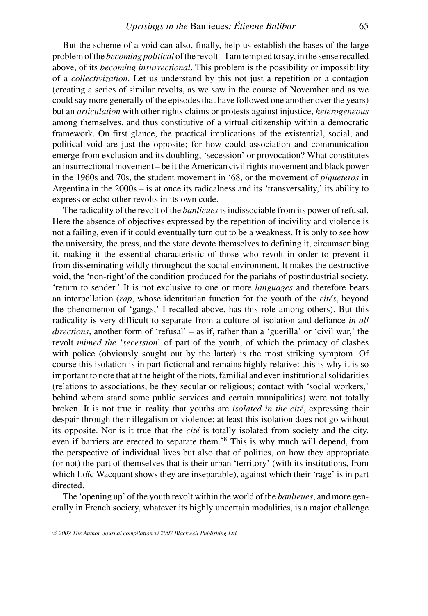But the scheme of a void can also, finally, help us establish the bases of the large problem of the *becoming political* of the revolt – I am tempted to say, in the sense recalled above, of its *becoming insurrectional*. This problem is the possibility or impossibility of a *collectivization*. Let us understand by this not just a repetition or a contagion (creating a series of similar revolts, as we saw in the course of November and as we could say more generally of the episodes that have followed one another over the years) but an *articulation* with other rights claims or protests against injustice, *heterogeneous* among themselves, and thus constitutive of a virtual citizenship within a democratic framework. On first glance, the practical implications of the existential, social, and political void are just the opposite; for how could association and communication emerge from exclusion and its doubling, 'secession' or provocation? What constitutes an insurrectional movement – be it the American civil rights movement and black power in the 1960s and 70s, the student movement in '68, or the movement of *piqueteros* in Argentina in the 2000s – is at once its radicalness and its 'transversality,' its ability to express or echo other revolts in its own code.

The radicality of the revolt of the *banlieues*is indissociable from its power of refusal. Here the absence of objectives expressed by the repetition of incivility and violence is not a failing, even if it could eventually turn out to be a weakness. It is only to see how the university, the press, and the state devote themselves to defining it, circumscribing it, making it the essential characteristic of those who revolt in order to prevent it from disseminating wildly throughout the social environment. It makes the destructive void, the 'non-right'of the condition produced for the pariahs of postindustrial society, 'return to sender.' It is not exclusive to one or more *languages* and therefore bears an interpellation (*rap*, whose identitarian function for the youth of the *cités*, beyond the phenomenon of 'gangs,' I recalled above, has this role among others). But this radicality is very difficult to separate from a culture of isolation and defiance *in all directions*, another form of 'refusal' – as if, rather than a 'guerilla' or 'civil war,' the revolt *mimed the* '*secession*' of part of the youth, of which the primacy of clashes with police (obviously sought out by the latter) is the most striking symptom. Of course this isolation is in part fictional and remains highly relative: this is why it is so important to note that at the height of the riots, familial and even institutional solidarities (relations to associations, be they secular or religious; contact with 'social workers,' behind whom stand some public services and certain munipalities) were not totally broken. It is not true in reality that youths are *isolated in the cité*, expressing their despair through their illegalism or violence; at least this isolation does not go without its opposite. Nor is it true that the *cité* is totally isolated from society and the city, even if barriers are erected to separate them.<sup>58</sup> This is why much will depend, from the perspective of individual lives but also that of politics, on how they appropriate (or not) the part of themselves that is their urban 'territory' (with its institutions, from which Loïc Wacquant shows they are inseparable), against which their 'rage' is in part directed.

The 'opening up' of the youth revolt within the world of the *banlieues*, and more generally in French society, whatever its highly uncertain modalities, is a major challenge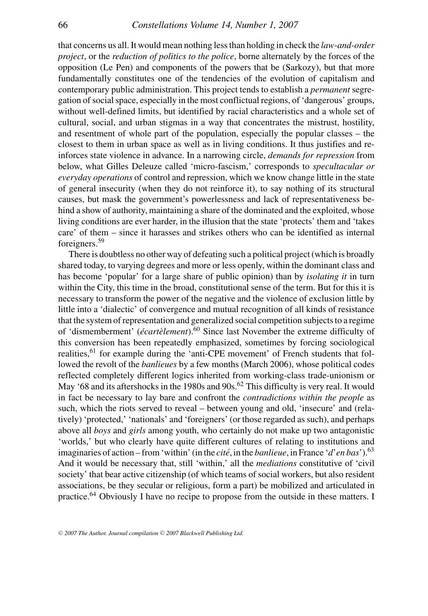that concerns us all. It would mean nothing less than holding in check the *law-and-order project*, or the *reduction of politics to the police*, borne alternately by the forces of the opposition (Le Pen) and components of the powers that be (Sarkozy), but that more fundamentally constitutes one of the tendencies of the evolution of capitalism and contemporary public administration. This project tends to establish a *permanent* segregation of social space, especially in the most conflictual regions, of 'dangerous' groups, without well-defined limits, but identified by racial characteristics and a whole set of cultural, social, and urban stigmas in a way that concentrates the mistrust, hostility, and resentment of whole part of the population, especially the popular classes – the closest to them in urban space as well as in living conditions. It thus justifies and reinforces state violence in advance. In a narrowing circle, *demands for repression* from below, what Gilles Deleuze called 'micro-fascism,' corresponds to *specultacular or everyday operations* of control and repression, which we know change little in the state of general insecurity (when they do not reinforce it), to say nothing of its structural causes, but mask the government's powerlessness and lack of representativeness behind a show of authority, maintaining a share of the dominated and the exploited, whose living conditions are ever harder, in the illusion that the state 'protects' them and 'takes care' of them – since it harasses and strikes others who can be identified as internal foreigners.59

There is doubtless no other way of defeating such a political project (which is broadly shared today, to varying degrees and more or less openly, within the dominant class and has become 'popular' for a large share of public opinion) than by *isolating it* in turn within the City, this time in the broad, constitutional sense of the term. But for this it is necessary to transform the power of the negative and the violence of exclusion little by little into a 'dialectic' of convergence and mutual recognition of all kinds of resistance that the system of representation and generalized social competition subjects to a regime of 'dismemberment' (*écartèlement*).<sup>60</sup> Since last November the extreme difficulty of this conversion has been repeatedly emphasized, sometimes by forcing sociological realities,<sup>61</sup> for example during the 'anti-CPE movement' of French students that followed the revolt of the *banlieues* by a few months (March 2006), whose political codes reflected completely different logics inherited from working-class trade-unionism or May '68 and its aftershocks in the 1980s and  $90s$ .<sup>62</sup> This difficulty is very real. It would in fact be necessary to lay bare and confront the *contradictions within the people* as such, which the riots served to reveal – between young and old, 'insecure' and (relatively) 'protected,' 'nationals' and 'foreigners' (or those regarded as such), and perhaps above all *boys* and *girls* among youth, who certainly do not make up two antagonistic 'worlds,' but who clearly have quite different cultures of relating to institutions and imaginaries of action – from 'within' (in the *cité*, in the *banlieue*, in France '*d' en bas*').<sup>63</sup> And it would be necessary that, still 'within,' all the *mediations* constitutive of 'civil society' that bear active citizenship (of which teams of social workers, but also resident associations, be they secular or religious, form a part) be mobilized and articulated in practice.<sup>64</sup> Obviously I have no recipe to propose from the outside in these matters. I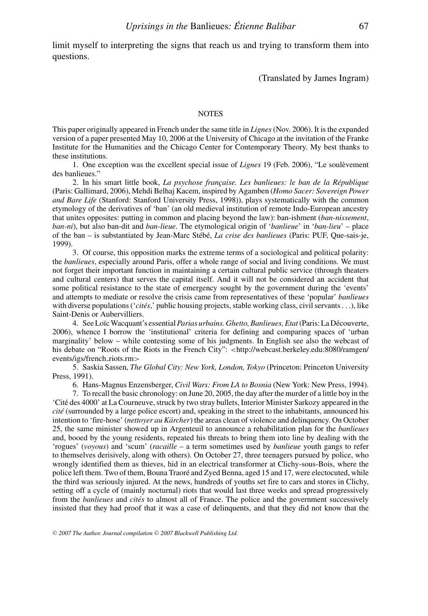limit myself to interpreting the signs that reach us and trying to transform them into questions.

(Translated by James Ingram)

#### NOTES

This paper originally appeared in French under the same title in *Lignes*(Nov. 2006). It is the expanded version of a paper presented May 10, 2006 at the University of Chicago at the invitation of the Franke Institute for the Humanities and the Chicago Center for Contemporary Theory. My best thanks to these institutions.

1. One exception was the excellent special issue of *Lignes* 19 (Feb. 2006), "Le soulèvement des banlieues."

2. In his smart little book, *La psychose francaise. Les banlieues: le ban de la République* (Paris: Gallimard, 2006), Mehdi Belhaj Kacem, inspired by Agamben (*Homo Sacer: Sovereign Power and Bare Life* (Stanford: Stanford University Press, 1998)), plays systematically with the common etymology of the derivatives of 'ban' (an old medieval institution of remote Indo-European ancestry that unites opposites: putting in common and placing beyond the law): ban-ishment (*ban-nissement*, *ban-ni*), but also ban-dit and *ban-lieue*. The etymological origin of '*banlieue*' in '*ban-lieu*' – place of the ban – is substantiated by Jean-Marc St´eb´e, *La crise des banlieues* (Paris: PUF, Que-sais-je, 1999).

3. Of course, this opposition marks the extreme terms of a sociological and political polarity: the *banlieues*, especially around Paris, offer a whole range of social and living conditions. We must not forget their important function in maintaining a certain cultural public service (through theaters and cultural centers) that serves the capital itself. And it will not be considered an accident that some political resistance to the state of emergency sought by the government during the 'events' and attempts to mediate or resolve the crisis came from representatives of these 'popular' *banlieues* with diverse populations ('*cités*,' public housing projects, stable working class, civil servants...), like Saint-Denis or Aubervilliers.

4. See Loïc Wacquant's essential Parias urbains. Ghetto, Banlieues, Etat (Paris: La Découverte, 2006), whence I borrow the 'institutional' criteria for defining and comparing spaces of 'urban marginality' below – while contesting some of his judgments. In English see also the webcast of his debate on "Roots of the Riots in the French City": <http://webcast.berkeley.edu:8080/ramgen/ events/igs/french riots.rm>

5. Saskia Sassen, *The Global City: New York, London, Tokyo* (Princeton: Princeton University Press, 1991).

6. Hans-Magnus Enzensberger, *Civil Wars: From LA to Bosnia* (New York: New Press, 1994).

7. To recall the basic chronology: on June 20, 2005, the day after the murder of a little boy in the 'Cit´e des 4000' at La Courneuve, struck by two stray bullets, Interior Minister Sarkozy appeared in the *cité* (surrounded by a large police escort) and, speaking in the street to the inhabitants, announced his intention to 'fire-hose' (*nettoyer au Kärcher*) the areas clean of violence and delinquency. On October 25, the same minister showed up in Argenteuil to announce a rehabilitation plan for the *banlieues* and, booed by the young residents, repeated his threats to bring them into line by dealing with the 'rogues' (*voyous*) and 'scum' (*racaille* – a term sometimes used by *banlieue* youth gangs to refer to themselves derisively, along with others). On October 27, three teenagers pursued by police, who wrongly identified them as thieves, hid in an electrical transformer at Clichy-sous-Bois, where the police left them. Two of them, Bouna Traoré and Zyed Benna, aged 15 and 17, were electocuted, while the third was seriously injured. At the news, hundreds of youths set fire to cars and stores in Clichy, setting off a cycle of (mainly nocturnal) riots that would last three weeks and spread progressively from the *banlieues* and *cités* to almost all of France. The police and the government successively insisted that they had proof that it was a case of delinquents, and that they did not know that the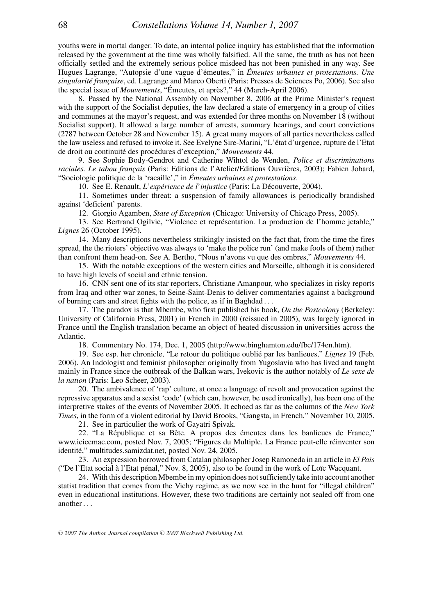youths were in mortal danger. To date, an internal police inquiry has established that the information released by the government at the time was wholly falsified. All the same, the truth as has not been officially settled and the extremely serious police misdeed has not been punished in any way. See Hugues Lagrange, "Autopsie d'une vague d'´emeutes," in *Emeutes urbaines et protestations. Une ´ singularité française*, ed. Lagrange and Marco Oberti (Paris: Presses de Sciences Po, 2006). See also the special issue of *Mouvements*, "Émeutes, et après?," 44 (March-April 2006).

8. Passed by the National Assembly on November 8, 2006 at the Prime Minister's request with the support of the Socialist deputies, the law declared a state of emergency in a group of cities and communes at the mayor's request, and was extended for three months on November 18 (without Socialist support). It allowed a large number of arrests, summary hearings, and court convictions (2787 between October 28 and November 15). A great many mayors of all parties nevertheless called the law useless and refused to invoke it. See Evelyne Sire-Marini, "L'´etat d'urgence, rupture de l'Etat de droit ou continuité des procédures d'exception," Mouvements 44.

9. See Sophie Body-Gendrot and Catherine Wihtol de Wenden, *Police et discriminations* raciales. Le tabou français (Paris: Editions de l'Atelier/Editions Ouvrières, 2003); Fabien Jobard, "Sociologie politique de la 'racaille'," in *Emeutes urbaines et protestations ´* .

10. See E. Renault, *L'expérience de l'injustice* (Paris: La Découverte, 2004).

11. Sometimes under threat: a suspension of family allowances is periodically brandished against 'deficient' parents.

12. Giorgio Agamben, *State of Exception* (Chicago: University of Chicago Press, 2005).

13. See Bertrand Ogilvie, "Violence et représentation. La production de l'homme jetable," *Lignes* 26 (October 1995).

14. Many descriptions nevertheless strikingly insisted on the fact that, from the time the fires spread, the the rioters' objective was always to 'make the police run' (and make fools of them) rather than confront them head-on. See A. Bertho, "Nous n'avons vu que des ombres," *Mouvements* 44.

15. With the notable exceptions of the western cities and Marseille, although it is considered to have high levels of social and ethnic tension.

16. CNN sent one of its star reporters, Christiane Amanpour, who specializes in risky reports from Iraq and other war zones, to Seine-Saint-Denis to deliver commentaries against a background of burning cars and street fights with the police, as if in Baghdad ...

17. The paradox is that Mbembe, who first published his book, *On the Postcolony* (Berkeley: University of California Press, 2001) in French in 2000 (reissued in 2005), was largely ignored in France until the English translation became an object of heated discussion in universities across the Atlantic.

18. Commentary No. 174, Dec. 1, 2005 (http://www.binghamton.edu/fbc/174en.htm).

19. See esp. her chronicle, "Le retour du politique oublié par les banlieues," *Lignes* 19 (Feb. 2006). An Indologist and feminist philosopher originally from Yugoslavia who has lived and taught mainly in France since the outbreak of the Balkan wars, Ivekovic is the author notably of *Le sexe de la nation* (Paris: Leo Scheer, 2003).

20. The ambivalence of 'rap' culture, at once a language of revolt and provocation against the repressive apparatus and a sexist 'code' (which can, however, be used ironically), has been one of the interpretive stakes of the events of November 2005. It echoed as far as the columns of the *New York Times*, in the form of a violent editorial by David Brooks, "Gangsta, in French," November 10, 2005.

21. See in particulier the work of Gayatri Spivak.

22. "La République et sa Bête. A propos des émeutes dans les banlieues de France," www.icicemac.com, posted Nov. 7, 2005; "Figures du Multiple. La France peut-elle réinventer son identité," multitudes.samizdat.net, posted Nov. 24, 2005.

23. An expression borrowed from Catalan philosopher Josep Ramoneda in an article in *El Pais* ("De l'Etat social à l'Etat pénal," Nov. 8, 2005), also to be found in the work of Loïc Wacquant.

24. With this description Mbembe in my opinion does not sufficiently take into account another statist tradition that comes from the Vichy regime, as we now see in the hunt for "illegal children" even in educational institutions. However, these two traditions are certainly not sealed off from one another ...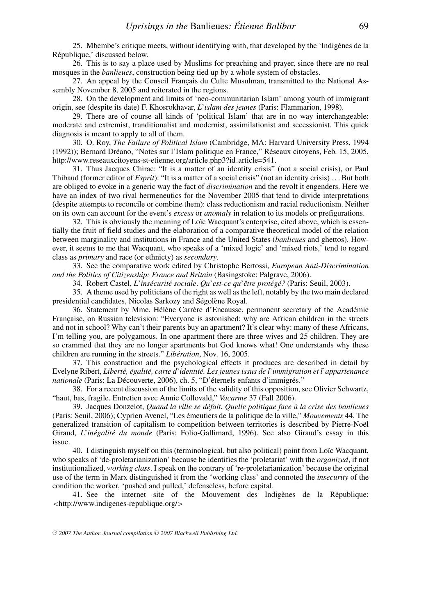25. Mbembe's critique meets, without identifying with, that developed by the 'Indigènes de la République,' discussed below.

26. This is to say a place used by Muslims for preaching and prayer, since there are no real mosques in the *banlieues*, construction being tied up by a whole system of obstacles.

27. An appeal by the Conseil Français du Culte Musulman, transmitted to the National Assembly November 8, 2005 and reiterated in the regions.

28. On the development and limits of 'neo-communitarian Islam' among youth of immigrant origin, see (despite its date) F. Khosrokhavar, *L*'*islam des jeunes* (Paris: Flammarion, 1998).

29. There are of course all kinds of 'political Islam' that are in no way interchangeable: moderate and extremist, tranditionalist and modernist, assimilationist and secessionist. This quick diagnosis is meant to apply to all of them.

30. O. Roy, *The Failure of Political Islam* (Cambridge, MA: Harvard University Press, 1994 (1992)); Bernard Dréano, "Notes sur l'Islam politique en France," Réseaux citoyens, Feb. 15, 2005, http://www.reseauxcitoyens-st-etienne.org/article.php3?id article=541.

31. Thus Jacques Chirac: "It is a matter of an identity crisis" (not a social crisis), or Paul Thibaud (former editor of *Esprit*): "It is a matter of a social crisis" (not an identity crisis)...But both are obliged to evoke in a generic way the fact of *discrimination* and the revolt it engenders. Here we have an index of two rival hermeneutics for the November 2005 that tend to divide interpretations (despite attempts to reconcile or combine them): class reductionism and racial reductionism. Neither on its own can account for the event's *excess* or *anomaly* in relation to its models or prefigurations.

32. This is obviously the meaning of Loïc Wacquant's enterprise, cited above, which is essentially the fruit of field studies and the elaboration of a comparative theoretical model of the relation between marginality and institutions in France and the United States (*banlieues* and ghettos). However, it seems to me that Wacquant, who speaks of a 'mixed logic' and 'mixed riots,' tend to regard class as *primary* and race (or ethnicty) as *secondary*.

33. See the comparative work edited by Christophe Bertossi, *European Anti-Discrimination and the Politics of Citizenship: France and Britain* (Basingstoke: Palgrave, 2006).

34. Robert Castel, *L*'*insecurit ´ e sociale ´* . *Qu*'*est-ce qu*'*etre prot ˆ eg´ e?´* (Paris: Seuil, 2003).

35. A theme used by politicians of the right as well as the left, notably by the two main declared presidential candidates, Nicolas Sarkozy and Ségolène Royal.

36. Statement by Mme. Hélène Carrère d'Encausse, permanent secretary of the Académie Française, on Russian television: "Everyone is astonished: why are African children in the streets and not in school? Why can't their parents buy an apartment? It's clear why: many of these Africans, I'm telling you, are polygamous. In one apartment there are three wives and 25 children. They are so crammed that they are no longer apartments but God knows what! One understands why these children are running in the streets." *Libération*, Nov. 16, 2005.

37. This construction and the psychological effects it produces are described in detail by Evelyne Ribert, *Liberte,´ egalit ´ e, carte d ´* '*identite. Les jeunes issus de l ´* '*immigration et l*'*appartenance nationale* (Paris: La Découverte, 2006), ch. 5, "D'éternels enfants d'immigrés."

38. For a recent discussion of the limits of the validity of this opposition, see Olivier Schwartz, "haut, bas, fragile. Entretien avec Annie Collovald," *Vacarme* 37 (Fall 2006).

39. Jacques Donzelot, *Quand la ville se defait. Quelle politique face ´ a la crise des banlieues `* (Paris: Seuil, 2006); Cyprien Avenel, "Les émeutiers de la politique de la ville," *Mouvements* 44. The generalized transition of capitalism to competition between territories is described by Pierre-Noël Giraud, *L'inégalité du monde* (Paris: Folio-Gallimard, 1996). See also Giraud's essay in this issue.

40. I distinguish myself on this (terminological, but also political) point from Loïc Wacquant, who speaks of 'de-proletarianization' because he identifies the 'proletariat' with the *organized*, if not institutionalized, *working class*. I speak on the contrary of 're-proletarianization' because the original use of the term in Marx distinguished it from the 'working class' and connoted the *insecurity* of the condition the worker, 'pushed and pulled,' defenseless, before capital.

41. See the internet site of the Mouvement des Indigènes de la République: <http://www.indigenes-republique.org/>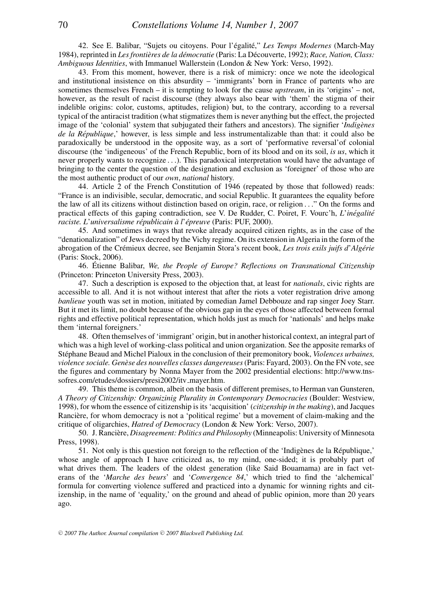42. See E. Balibar, "Sujets ou citoyens. Pour l'égalité," Les Temps Modernes (March-May 1984), reprinted in *Les frontières de la démocratie* (Paris: La Découverte, 1992); *Race, Nation, Class: Ambiguous Identities*, with Immanuel Wallerstein (London & New York: Verso, 1992).

43. From this moment, however, there is a risk of mimicry: once we note the ideological and institutional insistence on this absurdity – 'immigrants' born in France of partents who are sometimes themselves French – it is tempting to look for the cause *upstream*, in its 'origins' – not, however, as the result of racist discourse (they always also bear with 'them' the stigma of their indelible origins: color, customs, aptitudes, religion) but, to the contrary, according to a reversal typical of the antiracist tradition (what stigmatizes them is never anything but the effect, the projected image of the 'colonial' system that subjugated their fathers and ancestors). The signifier '*Indigenes ` de la République*,' however, is less simple and less instrumentalizable than that: it could also be paradoxically be understood in the opposite way, as a sort of 'performative reversal'of colonial discourse (the 'indigeneous' of the French Republic, born of its blood and on its soil, *is us*, which it never properly wants to recognize ...). This paradoxical interpretation would have the advantage of bringing to the center the question of the designation and exclusion as 'foreigner' of those who are the most authentic product of our *own*, *national* history.

44. Article 2 of the French Constitution of 1946 (repeated by those that followed) reads: "France is an indivisible, secular, democratic, and social Republic. It guarantees the equality before the law of all its citizens without distinction based on origin, race, or religion ..." On the forms and practical effects of this gaping contradiction, see V. De Rudder, C. Poiret, F. Vourc'h, *L'inégalité raciste. L*'*universalisme republicain ´ a l `* '*epreuve ´* (Paris: PUF, 2000).

45. And sometimes in ways that revoke already acquired citizen rights, as in the case of the "denationalization" of Jews decreed by the Vichy regime. On its extension in Algeria in the form of the abrogation of the Crémieux decree, see Benjamin Stora's recent book, *Les trois exils juifs d'Algérie* (Paris: Stock, 2006).

46. Étienne Balibar, We, the People of Europe? Reflections on Transnational Citizenship (Princeton: Princeton University Press, 2003).

47. Such a description is exposed to the objection that, at least for *nationals*, civic rights are accessible to all. And it is not without interest that after the riots a voter registration drive among *banlieue* youth was set in motion, initiated by comedian Jamel Debbouze and rap singer Joey Starr. But it met its limit, no doubt because of the obvious gap in the eyes of those affected between formal rights and effective political representation, which holds just as much for 'nationals' and helps make them 'internal foreigners.'

48. Often themselves of 'immigrant' origin, but in another historical context, an integral part of which was a high level of working-class political and union organization. See the apposite remarks of St´ephane Beaud and Michel Pialoux in the conclusion of their premonitory book, *Violences urbaines, violence sociale. Genese des nouvelles classes dangereuses `* (Paris: Fayard, 2003). On the FN vote, see the figures and commentary by Nonna Mayer from the 2002 presidential elections: http://www.tnssofres.com/etudes/dossiers/presi2002/itv mayer.htm.

49. This theme is common, albeit on the basis of different premises, to Herman van Gunsteren, *A Theory of Citizenship: Organizinig Plurality in Contemporary Democracies* (Boulder: Westview, 1998), for whom the essence of citizenship is its 'acquisition' (*citizenship in the making*), and Jacques Rancière, for whom democracy is not a 'political regime' but a movement of claim-making and the critique of oligarchies, *Hatred of Democracy* (London & New York: Verso, 2007).

50. J. Ranci`ere, *Disagreement: Politics and Philosophy* (Minneapolis: University of Minnesota Press, 1998).

51. Not only is this question not foreign to the reflection of the 'Indigènes de la République,' whose angle of approach I have criticized as, to my mind, one-sided; it is probably part of what drives them. The leaders of the oldest generation (like Said Bouamama) are in fact veterans of the '*Marche des beurs*' and '*Convergence 84*,' which tried to find the 'alchemical' formula for converting violence suffered and practiced into a dynamic for winning rights and citizenship, in the name of 'equality,' on the ground and ahead of public opinion, more than 20 years ago.